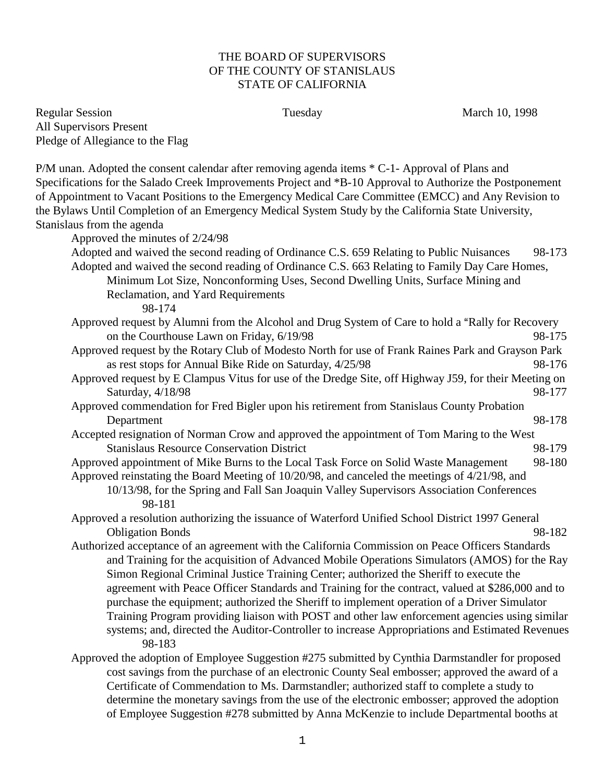## THE BOARD OF SUPERVISORS OF THE COUNTY OF STANISLAUS STATE OF CALIFORNIA

Regular Session **Tuesday** Tuesday March 10, 1998 All Supervisors Present Pledge of Allegiance to the Flag

P/M unan. Adopted the consent calendar after removing agenda items \* C-1- Approval of Plans and Specifications for the Salado Creek Improvements Project and \*B-10 Approval to Authorize the Postponement of Appointment to Vacant Positions to the Emergency Medical Care Committee (EMCC) and Any Revision to the Bylaws Until Completion of an Emergency Medical System Study by the California State University, Stanislaus from the agenda Approved the minutes of 2/24/98 Adopted and waived the second reading of Ordinance C.S. 659 Relating to Public Nuisances 98-173 Adopted and waived the second reading of Ordinance C.S. 663 Relating to Family Day Care Homes, Minimum Lot Size, Nonconforming Uses, Second Dwelling Units, Surface Mining and Reclamation, and Yard Requirements 98-174 Approved request by Alumni from the Alcohol and Drug System of Care to hold a "Rally for Recovery" on the Courthouse Lawn on Friday,  $6/19/98$  98-175 Approved request by the Rotary Club of Modesto North for use of Frank Raines Park and Grayson Park as rest stops for Annual Bike Ride on Saturday,  $4/25/98$  98-176 Approved request by E Clampus Vitus for use of the Dredge Site, off Highway J59, for their Meeting on Saturday, 4/18/98 98-177 Approved commendation for Fred Bigler upon his retirement from Stanislaus County Probation Department 98-178 Accepted resignation of Norman Crow and approved the appointment of Tom Maring to the West Stanislaus Resource Conservation District 98-179 Approved appointment of Mike Burns to the Local Task Force on Solid Waste Management 98-180 Approved reinstating the Board Meeting of 10/20/98, and canceled the meetings of 4/21/98, and 10/13/98, for the Spring and Fall San Joaquin Valley Supervisors Association Conferences 98-181 Approved a resolution authorizing the issuance of Waterford Unified School District 1997 General Obligation Bonds 98-182 Authorized acceptance of an agreement with the California Commission on Peace Officers Standards and Training for the acquisition of Advanced Mobile Operations Simulators (AMOS) for the Ray Simon Regional Criminal Justice Training Center; authorized the Sheriff to execute the agreement with Peace Officer Standards and Training for the contract, valued at \$286,000 and to purchase the equipment; authorized the Sheriff to implement operation of a Driver Simulator Training Program providing liaison with POST and other law enforcement agencies using similar systems; and, directed the Auditor-Controller to increase Appropriations and Estimated Revenues 98-183 Approved the adoption of Employee Suggestion #275 submitted by Cynthia Darmstandler for proposed cost savings from the purchase of an electronic County Seal embosser; approved the award of a Certificate of Commendation to Ms. Darmstandler; authorized staff to complete a study to determine the monetary savings from the use of the electronic embosser; approved the adoption of Employee Suggestion #278 submitted by Anna McKenzie to include Departmental booths at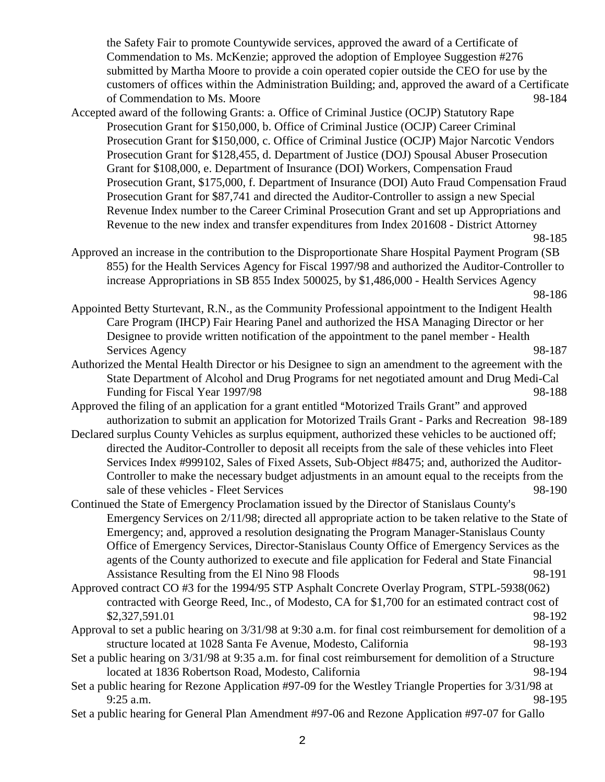the Safety Fair to promote Countywide services, approved the award of a Certificate of Commendation to Ms. McKenzie; approved the adoption of Employee Suggestion #276 submitted by Martha Moore to provide a coin operated copier outside the CEO for use by the customers of offices within the Administration Building; and, approved the award of a Certificate of Commendation to Ms. Moore 98-184

Accepted award of the following Grants: a. Office of Criminal Justice (OCJP) Statutory Rape Prosecution Grant for \$150,000, b. Office of Criminal Justice (OCJP) Career Criminal Prosecution Grant for \$150,000, c. Office of Criminal Justice (OCJP) Major Narcotic Vendors Prosecution Grant for \$128,455, d. Department of Justice (DOJ) Spousal Abuser Prosecution Grant for \$108,000, e. Department of Insurance (DOI) Workers, Compensation Fraud Prosecution Grant, \$175,000, f. Department of Insurance (DOI) Auto Fraud Compensation Fraud Prosecution Grant for \$87,741 and directed the Auditor-Controller to assign a new Special Revenue Index number to the Career Criminal Prosecution Grant and set up Appropriations and Revenue to the new index and transfer expenditures from Index 201608 - District Attorney

Approved an increase in the contribution to the Disproportionate Share Hospital Payment Program (SB 855) for the Health Services Agency for Fiscal 1997/98 and authorized the Auditor-Controller to increase Appropriations in SB 855 Index 500025, by \$1,486,000 - Health Services Agency 98-186

- Authorized the Mental Health Director or his Designee to sign an amendment to the agreement with the State Department of Alcohol and Drug Programs for net negotiated amount and Drug Medi-Cal Funding for Fiscal Year 1997/98 98-188
- Approved the filing of an application for a grant entitled "Motorized Trails Grant" and approved authorization to submit an application for Motorized Trails Grant - Parks and Recreation 98-189
- Declared surplus County Vehicles as surplus equipment, authorized these vehicles to be auctioned off; directed the Auditor-Controller to deposit all receipts from the sale of these vehicles into Fleet Services Index #999102, Sales of Fixed Assets, Sub-Object #8475; and, authorized the Auditor-Controller to make the necessary budget adjustments in an amount equal to the receipts from the sale of these vehicles - Fleet Services 98-190
- Continued the State of Emergency Proclamation issued by the Director of Stanislaus County's Emergency Services on 2/11/98; directed all appropriate action to be taken relative to the State of Emergency; and, approved a resolution designating the Program Manager-Stanislaus County Office of Emergency Services, Director-Stanislaus County Office of Emergency Services as the agents of the County authorized to execute and file application for Federal and State Financial Assistance Resulting from the El Nino 98 Floods 98-191
- Approved contract CO #3 for the 1994/95 STP Asphalt Concrete Overlay Program, STPL-5938(062) contracted with George Reed, Inc., of Modesto, CA for \$1,700 for an estimated contract cost of \$2,327,591.01 98-192
- Approval to set a public hearing on 3/31/98 at 9:30 a.m. for final cost reimbursement for demolition of a structure located at 1028 Santa Fe Avenue, Modesto, California 98-193
- Set a public hearing on 3/31/98 at 9:35 a.m. for final cost reimbursement for demolition of a Structure located at 1836 Robertson Road, Modesto, California 198-194
- Set a public hearing for Rezone Application #97-09 for the Westley Triangle Properties for 3/31/98 at 9:25 a.m. 98-195
- Set a public hearing for General Plan Amendment #97-06 and Rezone Application #97-07 for Gallo

<sup>98-185</sup>

Appointed Betty Sturtevant, R.N., as the Community Professional appointment to the Indigent Health Care Program (IHCP) Fair Hearing Panel and authorized the HSA Managing Director or her Designee to provide written notification of the appointment to the panel member - Health Services Agency 98-187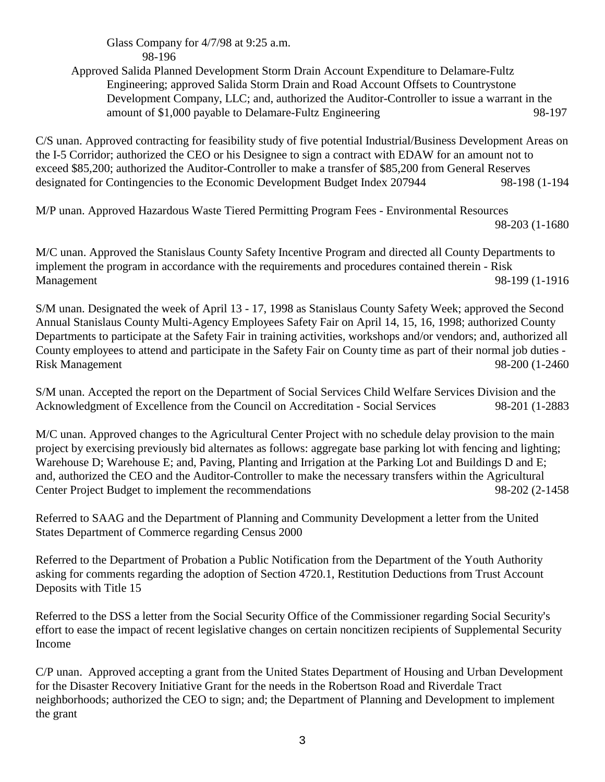## Glass Company for 4/7/98 at 9:25 a.m. 98-196

Approved Salida Planned Development Storm Drain Account Expenditure to Delamare-Fultz Engineering; approved Salida Storm Drain and Road Account Offsets to Countrystone Development Company, LLC; and, authorized the Auditor-Controller to issue a warrant in the amount of \$1,000 payable to Delamare-Fultz Engineering 98-197

C/S unan. Approved contracting for feasibility study of five potential Industrial/Business Development Areas on the I-5 Corridor; authorized the CEO or his Designee to sign a contract with EDAW for an amount not to exceed \$85,200; authorized the Auditor-Controller to make a transfer of \$85,200 from General Reserves designated for Contingencies to the Economic Development Budget Index 207944 98-198 (1-194

M/P unan. Approved Hazardous Waste Tiered Permitting Program Fees - Environmental Resources 98-203 (1-1680

M/C unan. Approved the Stanislaus County Safety Incentive Program and directed all County Departments to implement the program in accordance with the requirements and procedures contained therein - Risk Management 98-199 (1-1916

S/M unan. Designated the week of April 13 - 17, 1998 as Stanislaus County Safety Week; approved the Second Annual Stanislaus County Multi-Agency Employees Safety Fair on April 14, 15, 16, 1998; authorized County Departments to participate at the Safety Fair in training activities, workshops and/or vendors; and, authorized all County employees to attend and participate in the Safety Fair on County time as part of their normal job duties - Risk Management 98-200 (1-2460

S/M unan. Accepted the report on the Department of Social Services Child Welfare Services Division and the Acknowledgment of Excellence from the Council on Accreditation - Social Services 98-201 (1-2883

M/C unan. Approved changes to the Agricultural Center Project with no schedule delay provision to the main project by exercising previously bid alternates as follows: aggregate base parking lot with fencing and lighting; Warehouse D; Warehouse E; and, Paving, Planting and Irrigation at the Parking Lot and Buildings D and E; and, authorized the CEO and the Auditor-Controller to make the necessary transfers within the Agricultural Center Project Budget to implement the recommendations 98-202 (2-1458

Referred to SAAG and the Department of Planning and Community Development a letter from the United States Department of Commerce regarding Census 2000

Referred to the Department of Probation a Public Notification from the Department of the Youth Authority asking for comments regarding the adoption of Section 4720.1, Restitution Deductions from Trust Account Deposits with Title 15

Referred to the DSS a letter from the Social Security Office of the Commissioner regarding Social Security's effort to ease the impact of recent legislative changes on certain noncitizen recipients of Supplemental Security Income

C/P unan. Approved accepting a grant from the United States Department of Housing and Urban Development for the Disaster Recovery Initiative Grant for the needs in the Robertson Road and Riverdale Tract neighborhoods; authorized the CEO to sign; and; the Department of Planning and Development to implement the grant